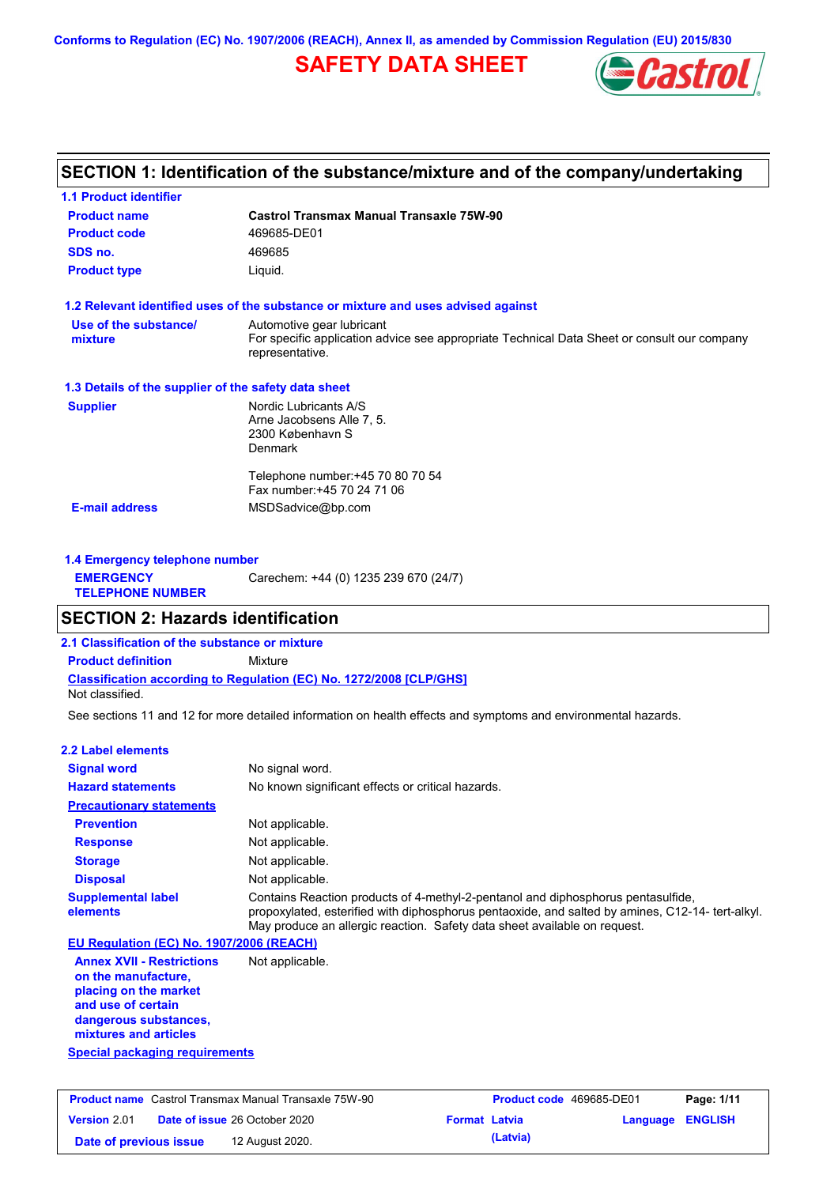**Conforms to Regulation (EC) No. 1907/2006 (REACH), Annex II, as amended by Commission Regulation (EU) 2015/830**

# **SAFETY DATA SHEET**



## **SECTION 1: Identification of the substance/mixture and of the company/undertaking**

| <b>1.1 Product identifier</b>                        |                                                                                                                |
|------------------------------------------------------|----------------------------------------------------------------------------------------------------------------|
| <b>Product name</b>                                  | <b>Castrol Transmax Manual Transaxle 75W-90</b>                                                                |
| <b>Product code</b>                                  | 469685-DE01                                                                                                    |
| SDS no.                                              | 469685                                                                                                         |
| <b>Product type</b>                                  | Liquid.                                                                                                        |
|                                                      | 1.2 Relevant identified uses of the substance or mixture and uses advised against                              |
| Use of the substance/                                | Automotive gear lubricant                                                                                      |
| mixture                                              | For specific application advice see appropriate Technical Data Sheet or consult our company<br>representative. |
| 1.3 Details of the supplier of the safety data sheet |                                                                                                                |
| <b>Supplier</b>                                      | Nordic Lubricants A/S                                                                                          |
|                                                      | Arne Jacobsens Alle 7, 5.                                                                                      |
|                                                      | 2300 København S                                                                                               |
|                                                      | <b>Denmark</b>                                                                                                 |
|                                                      | Telephone number: +45 70 80 70 54                                                                              |
|                                                      | Fax number: +45 70 24 71 06                                                                                    |
|                                                      | MSDSadvice@bp.com                                                                                              |

| 1.4 Emergency telephone number              |                                       |  |  |
|---------------------------------------------|---------------------------------------|--|--|
| <b>EMERGENCY</b><br><b>TELEPHONE NUMBER</b> | Carechem: +44 (0) 1235 239 670 (24/7) |  |  |

## **SECTION 2: Hazards identification**

**2.1 Classification of the substance or mixture**

**Classification according to Regulation (EC) No. 1272/2008 [CLP/GHS] Product definition** Mixture

Not classified.

See sections 11 and 12 for more detailed information on health effects and symptoms and environmental hazards.

#### **2.2 Label elements**

| <b>Signal word</b>                                                                                                                                       | No signal word.                                                                                                                                                                                                                                                   |
|----------------------------------------------------------------------------------------------------------------------------------------------------------|-------------------------------------------------------------------------------------------------------------------------------------------------------------------------------------------------------------------------------------------------------------------|
| <b>Hazard statements</b>                                                                                                                                 | No known significant effects or critical hazards.                                                                                                                                                                                                                 |
| <b>Precautionary statements</b>                                                                                                                          |                                                                                                                                                                                                                                                                   |
| <b>Prevention</b>                                                                                                                                        | Not applicable.                                                                                                                                                                                                                                                   |
| <b>Response</b>                                                                                                                                          | Not applicable.                                                                                                                                                                                                                                                   |
| <b>Storage</b>                                                                                                                                           | Not applicable.                                                                                                                                                                                                                                                   |
| <b>Disposal</b>                                                                                                                                          | Not applicable.                                                                                                                                                                                                                                                   |
| <b>Supplemental label</b><br>elements                                                                                                                    | Contains Reaction products of 4-methyl-2-pentanol and diphosphorus pentasulfide,<br>propoxylated, esterified with diphosphorus pentaoxide, and salted by amines, C12-14- tert-alkyl.<br>May produce an allergic reaction. Safety data sheet available on request. |
| EU Regulation (EC) No. 1907/2006 (REACH)                                                                                                                 |                                                                                                                                                                                                                                                                   |
| <b>Annex XVII - Restrictions</b><br>on the manufacture.<br>placing on the market<br>and use of certain<br>dangerous substances,<br>mixtures and articles | Not applicable.                                                                                                                                                                                                                                                   |
| <b>Special packaging requirements</b>                                                                                                                    |                                                                                                                                                                                                                                                                   |

| <b>Product name</b> Castrol Transmax Manual Transaxle 75W-90 |  | <b>Product code</b> 469685-DE01      |                      | Page: 1/11 |                  |  |
|--------------------------------------------------------------|--|--------------------------------------|----------------------|------------|------------------|--|
| <b>Version 2.01</b>                                          |  | <b>Date of issue 26 October 2020</b> | <b>Format Latvia</b> |            | Language ENGLISH |  |
| Date of previous issue                                       |  | 12 August 2020.                      |                      | (Latvia)   |                  |  |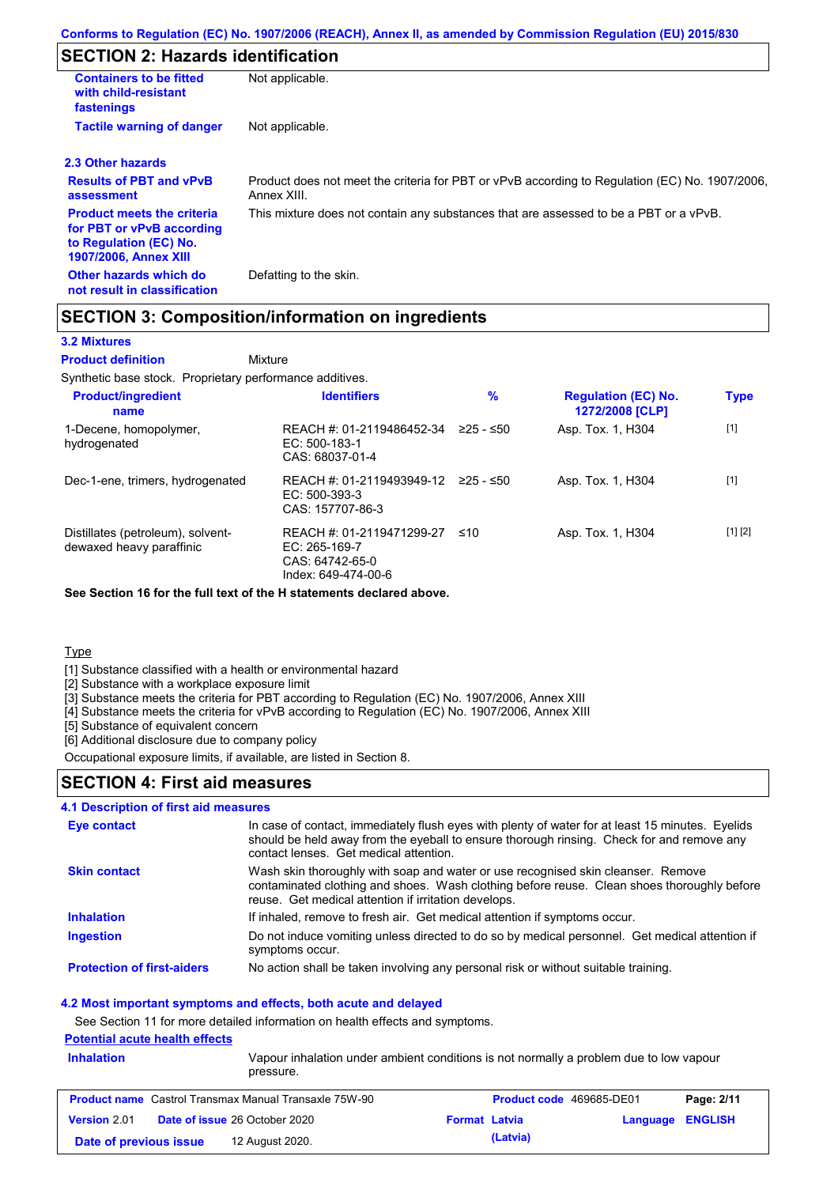## **SECTION 2: Hazards identification**

| <b>Containers to be fitted</b><br>with child-resistant<br>fastenings                                                     | Not applicable.                                                                                               |
|--------------------------------------------------------------------------------------------------------------------------|---------------------------------------------------------------------------------------------------------------|
| <b>Tactile warning of danger</b>                                                                                         | Not applicable.                                                                                               |
| 2.3 Other hazards                                                                                                        |                                                                                                               |
| <b>Results of PBT and vPvB</b><br>assessment                                                                             | Product does not meet the criteria for PBT or vPvB according to Regulation (EC) No. 1907/2006,<br>Annex XIII. |
| <b>Product meets the criteria</b><br>for PBT or vPvB according<br>to Regulation (EC) No.<br><b>1907/2006, Annex XIII</b> | This mixture does not contain any substances that are assessed to be a PBT or a vPvB.                         |
| Other hazards which do<br>not result in classification                                                                   | Defatting to the skin.                                                                                        |

## **SECTION 3: Composition/information on ingredients**

### **3.2 Mixtures**

Mixture **Product definition**

Synthetic base stock. Proprietary performance additives.

| <b>Product/ingredient</b><br>name                             | <b>Identifiers</b>                                                                     | %           | <b>Regulation (EC) No.</b><br>1272/2008 [CLP] | <b>Type</b> |
|---------------------------------------------------------------|----------------------------------------------------------------------------------------|-------------|-----------------------------------------------|-------------|
| 1-Decene, homopolymer,<br>hydrogenated                        | REACH #: 01-2119486452-34<br>$EC: 500-183-1$<br>CAS: 68037-01-4                        | $≥25 - ≤50$ | Asp. Tox. 1, H304                             | $[1]$       |
| Dec-1-ene, trimers, hydrogenated                              | REACH #: 01-2119493949-12<br>EC: 500-393-3<br>CAS: 157707-86-3                         | 225 - ≤50   | Asp. Tox. 1, H304                             | $[1]$       |
| Distillates (petroleum), solvent-<br>dewaxed heavy paraffinic | REACH #: 01-2119471299-27<br>$EC: 265-169-7$<br>CAS: 64742-65-0<br>Index: 649-474-00-6 | ≤10         | Asp. Tox. 1, H304                             | [1] [2]     |

**See Section 16 for the full text of the H statements declared above.**

**Type** 

[1] Substance classified with a health or environmental hazard

[2] Substance with a workplace exposure limit

[3] Substance meets the criteria for PBT according to Regulation (EC) No. 1907/2006, Annex XIII

[4] Substance meets the criteria for vPvB according to Regulation (EC) No. 1907/2006, Annex XIII

[5] Substance of equivalent concern

[6] Additional disclosure due to company policy

Occupational exposure limits, if available, are listed in Section 8.

### **SECTION 4: First aid measures**

#### **4.1 Description of first aid measures**

| Eye contact                       | In case of contact, immediately flush eyes with plenty of water for at least 15 minutes. Eyelids<br>should be held away from the eyeball to ensure thorough rinsing. Check for and remove any<br>contact lenses. Get medical attention. |
|-----------------------------------|-----------------------------------------------------------------------------------------------------------------------------------------------------------------------------------------------------------------------------------------|
| <b>Skin contact</b>               | Wash skin thoroughly with soap and water or use recognised skin cleanser. Remove<br>contaminated clothing and shoes. Wash clothing before reuse. Clean shoes thoroughly before<br>reuse. Get medical attention if irritation develops.  |
| <b>Inhalation</b>                 | If inhaled, remove to fresh air. Get medical attention if symptoms occur.                                                                                                                                                               |
| <b>Ingestion</b>                  | Do not induce vomiting unless directed to do so by medical personnel. Get medical attention if<br>symptoms occur.                                                                                                                       |
| <b>Protection of first-aiders</b> | No action shall be taken involving any personal risk or without suitable training.                                                                                                                                                      |

#### **4.2 Most important symptoms and effects, both acute and delayed**

See Section 11 for more detailed information on health effects and symptoms.

## **Potential acute health effects**

| <b>Inhalation</b>      | pressure.                                                    | Vapour inhalation under ambient conditions is not normally a problem due to low vapour |                         |            |
|------------------------|--------------------------------------------------------------|----------------------------------------------------------------------------------------|-------------------------|------------|
|                        | <b>Product name</b> Castrol Transmax Manual Transaxle 75W-90 | <b>Product code</b> 469685-DE01                                                        |                         | Page: 2/11 |
| Version 2.01           | <b>Date of issue 26 October 2020</b>                         | <b>Format Latvia</b>                                                                   | <b>Language ENGLISH</b> |            |
| Date of previous issue | 12 August 2020.                                              | (Latvia)                                                                               |                         |            |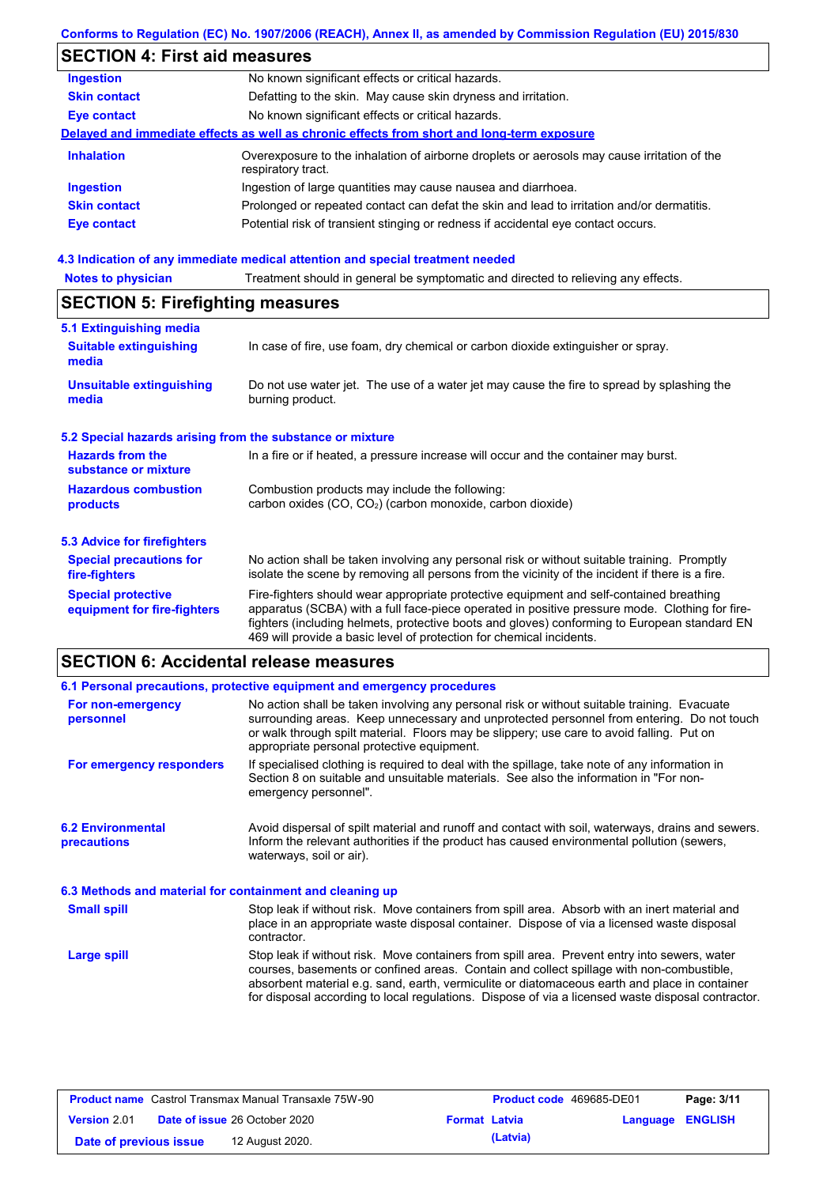### **Conforms to Regulation (EC) No. 1907/2006 (REACH), Annex II, as amended by Commission Regulation (EU) 2015/830**

# **SECTION 4: First aid measures**

| <b>Ingestion</b>    | No known significant effects or critical hazards.                                                                 |
|---------------------|-------------------------------------------------------------------------------------------------------------------|
| <b>Skin contact</b> | Defatting to the skin. May cause skin dryness and irritation.                                                     |
| <b>Eye contact</b>  | No known significant effects or critical hazards.                                                                 |
|                     | Delayed and immediate effects as well as chronic effects from short and long-term exposure                        |
| <b>Inhalation</b>   | Overexposure to the inhalation of airborne droplets or aerosols may cause irritation of the<br>respiratory tract. |
| <b>Ingestion</b>    | Ingestion of large quantities may cause nausea and diarrhoea.                                                     |
| <b>Skin contact</b> | Prolonged or repeated contact can defat the skin and lead to irritation and/or dermatitis.                        |
| <b>Eye contact</b>  | Potential risk of transient stinging or redness if accidental eye contact occurs.                                 |
|                     |                                                                                                                   |

# **4.3 Indication of any immediate medical attention and special treatment needed<br>Notes to physician** Treatment should in general be symptomatic and directed to relieving

| Treatment should in general be symptomatic and directed to relieving any effects.<br><b>Notes to physician</b> |                                                                                                                                                                                                                                                                                                                                                                   |  |  |  |  |
|----------------------------------------------------------------------------------------------------------------|-------------------------------------------------------------------------------------------------------------------------------------------------------------------------------------------------------------------------------------------------------------------------------------------------------------------------------------------------------------------|--|--|--|--|
| <b>SECTION 5: Firefighting measures</b>                                                                        |                                                                                                                                                                                                                                                                                                                                                                   |  |  |  |  |
| 5.1 Extinguishing media                                                                                        |                                                                                                                                                                                                                                                                                                                                                                   |  |  |  |  |
| <b>Suitable extinguishing</b><br>media                                                                         | In case of fire, use foam, dry chemical or carbon dioxide extinguisher or spray.                                                                                                                                                                                                                                                                                  |  |  |  |  |
| <b>Unsuitable extinguishing</b><br>media                                                                       | Do not use water jet. The use of a water jet may cause the fire to spread by splashing the<br>burning product.                                                                                                                                                                                                                                                    |  |  |  |  |
| 5.2 Special hazards arising from the substance or mixture                                                      |                                                                                                                                                                                                                                                                                                                                                                   |  |  |  |  |
| <b>Hazards from the</b><br>substance or mixture                                                                | In a fire or if heated, a pressure increase will occur and the container may burst.                                                                                                                                                                                                                                                                               |  |  |  |  |
| <b>Hazardous combustion</b><br>products                                                                        | Combustion products may include the following:<br>carbon oxides (CO, CO <sub>2</sub> ) (carbon monoxide, carbon dioxide)                                                                                                                                                                                                                                          |  |  |  |  |
| 5.3 Advice for firefighters                                                                                    |                                                                                                                                                                                                                                                                                                                                                                   |  |  |  |  |
| <b>Special precautions for</b><br>fire-fighters                                                                | No action shall be taken involving any personal risk or without suitable training. Promptly<br>isolate the scene by removing all persons from the vicinity of the incident if there is a fire.                                                                                                                                                                    |  |  |  |  |
| <b>Special protective</b><br>equipment for fire-fighters                                                       | Fire-fighters should wear appropriate protective equipment and self-contained breathing<br>apparatus (SCBA) with a full face-piece operated in positive pressure mode. Clothing for fire-<br>fighters (including helmets, protective boots and gloves) conforming to European standard EN<br>469 will provide a basic level of protection for chemical incidents. |  |  |  |  |

# **SECTION 6: Accidental release measures**

|                                                          | 6.1 Personal precautions, protective equipment and emergency procedures                                                                                                                                                                                                                                                                                                                        |
|----------------------------------------------------------|------------------------------------------------------------------------------------------------------------------------------------------------------------------------------------------------------------------------------------------------------------------------------------------------------------------------------------------------------------------------------------------------|
| For non-emergency<br>personnel                           | No action shall be taken involving any personal risk or without suitable training. Evacuate<br>surrounding areas. Keep unnecessary and unprotected personnel from entering. Do not touch<br>or walk through spilt material. Floors may be slippery; use care to avoid falling. Put on<br>appropriate personal protective equipment.                                                            |
| For emergency responders                                 | If specialised clothing is required to deal with the spillage, take note of any information in<br>Section 8 on suitable and unsuitable materials. See also the information in "For non-<br>emergency personnel".                                                                                                                                                                               |
| <b>6.2 Environmental</b><br>precautions                  | Avoid dispersal of spilt material and runoff and contact with soil, waterways, drains and sewers.<br>Inform the relevant authorities if the product has caused environmental pollution (sewers,<br>waterways, soil or air).                                                                                                                                                                    |
| 6.3 Methods and material for containment and cleaning up |                                                                                                                                                                                                                                                                                                                                                                                                |
| <b>Small spill</b>                                       | Stop leak if without risk. Move containers from spill area. Absorb with an inert material and<br>place in an appropriate waste disposal container. Dispose of via a licensed waste disposal<br>contractor.                                                                                                                                                                                     |
| Large spill                                              | Stop leak if without risk. Move containers from spill area. Prevent entry into sewers, water<br>courses, basements or confined areas. Contain and collect spillage with non-combustible.<br>absorbent material e.g. sand, earth, vermiculite or diatomaceous earth and place in container<br>for disposal according to local regulations. Dispose of via a licensed waste disposal contractor. |

| <b>Product name</b> Castrol Transmax Manual Transaxle 75W-90 |  | <b>Product code</b> 469685-DE01      |                      | Page: 3/11 |                  |  |
|--------------------------------------------------------------|--|--------------------------------------|----------------------|------------|------------------|--|
| Version 2.01                                                 |  | <b>Date of issue 26 October 2020</b> | <b>Format Latvia</b> |            | Language ENGLISH |  |
| Date of previous issue                                       |  | 12 August 2020.                      |                      | (Latvia)   |                  |  |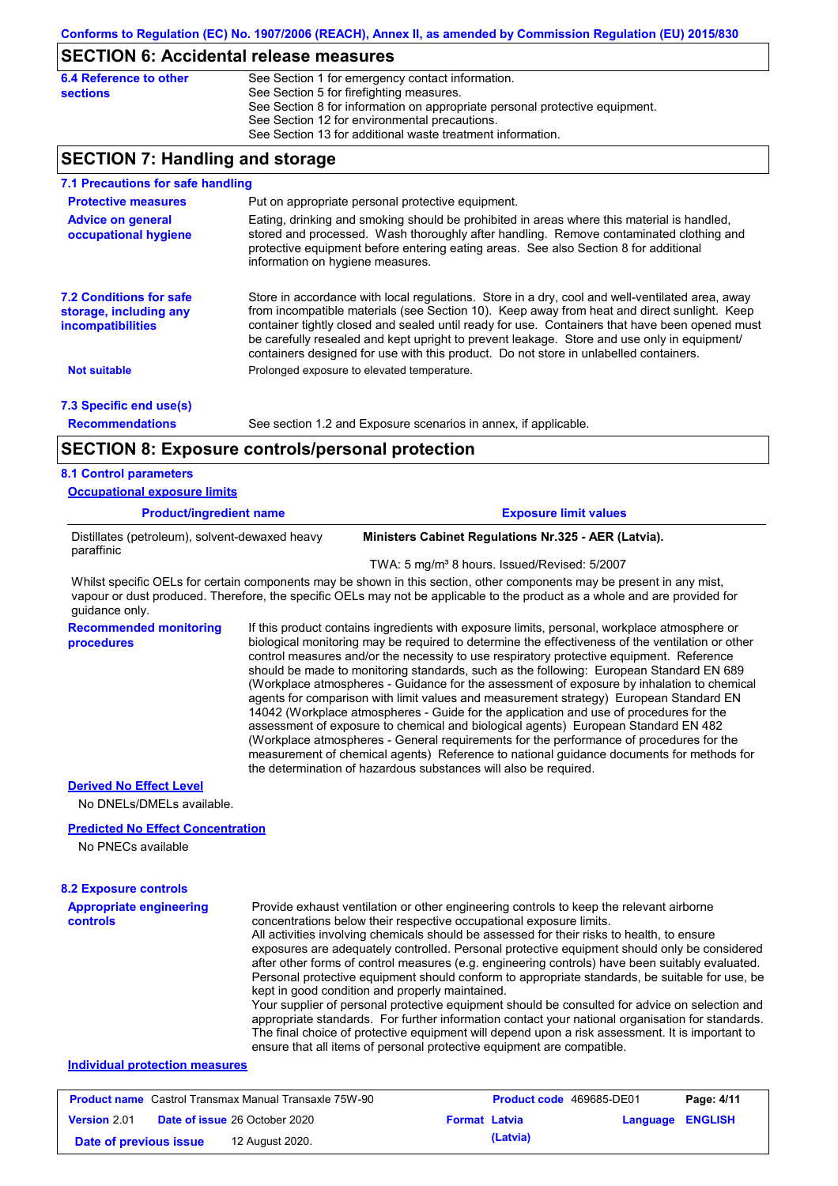## **SECTION 6: Accidental release measures**

| 6.4 Reference to other | See Section 1 for emergency contact information.                            |
|------------------------|-----------------------------------------------------------------------------|
| sections               | See Section 5 for firefighting measures.                                    |
|                        | See Section 8 for information on appropriate personal protective equipment. |
|                        | See Section 12 for environmental precautions.                               |
|                        | See Section 13 for additional waste treatment information.                  |
|                        |                                                                             |

## **SECTION 7: Handling and storage**

| 7.1 Precautions for safe handling                                                    |                                                                                                                                                                                                                                                                                                                                                                                                                                                                                          |  |  |  |
|--------------------------------------------------------------------------------------|------------------------------------------------------------------------------------------------------------------------------------------------------------------------------------------------------------------------------------------------------------------------------------------------------------------------------------------------------------------------------------------------------------------------------------------------------------------------------------------|--|--|--|
| <b>Protective measures</b>                                                           | Put on appropriate personal protective equipment.                                                                                                                                                                                                                                                                                                                                                                                                                                        |  |  |  |
| <b>Advice on general</b><br>occupational hygiene                                     | Eating, drinking and smoking should be prohibited in areas where this material is handled.<br>stored and processed. Wash thoroughly after handling. Remove contaminated clothing and<br>protective equipment before entering eating areas. See also Section 8 for additional<br>information on hygiene measures.                                                                                                                                                                         |  |  |  |
| <b>7.2 Conditions for safe</b><br>storage, including any<br><b>incompatibilities</b> | Store in accordance with local regulations. Store in a dry, cool and well-ventilated area, away<br>from incompatible materials (see Section 10). Keep away from heat and direct sunlight. Keep<br>container tightly closed and sealed until ready for use. Containers that have been opened must<br>be carefully resealed and kept upright to prevent leakage. Store and use only in equipment/<br>containers designed for use with this product. Do not store in unlabelled containers. |  |  |  |
| <b>Not suitable</b>                                                                  | Prolonged exposure to elevated temperature.                                                                                                                                                                                                                                                                                                                                                                                                                                              |  |  |  |
| 7.3 Specific end use(s)                                                              |                                                                                                                                                                                                                                                                                                                                                                                                                                                                                          |  |  |  |
| <b>Recommendations</b>                                                               | See section 1.2 and Exposure scenarios in annex, if applicable.                                                                                                                                                                                                                                                                                                                                                                                                                          |  |  |  |
|                                                                                      | <b>SECTION 8: Exposure controls/personal protection</b>                                                                                                                                                                                                                                                                                                                                                                                                                                  |  |  |  |
| <b>8.1 Control parameters</b>                                                        |                                                                                                                                                                                                                                                                                                                                                                                                                                                                                          |  |  |  |
| <b>Occupational exposure limits</b>                                                  |                                                                                                                                                                                                                                                                                                                                                                                                                                                                                          |  |  |  |
| <b>Product/ingredient name</b>                                                       | <b>Exposure limit values</b>                                                                                                                                                                                                                                                                                                                                                                                                                                                             |  |  |  |
| Distillates (petroleum), solvent-dewaxed heavy<br>paraffinic                         | Ministers Cabinet Regulations Nr.325 - AER (Latvia).                                                                                                                                                                                                                                                                                                                                                                                                                                     |  |  |  |
|                                                                                      | TWA: 5 mg/m <sup>3</sup> 8 hours. Issued/Revised: 5/2007                                                                                                                                                                                                                                                                                                                                                                                                                                 |  |  |  |
| guidance only.                                                                       | Whilst specific OELs for certain components may be shown in this section, other components may be present in any mist,<br>vapour or dust produced. Therefore, the specific OELs may not be applicable to the product as a whole and are provided for                                                                                                                                                                                                                                     |  |  |  |
| <b>Recommended monitoring</b><br>procedures                                          | If this product contains ingredients with exposure limits, personal, workplace atmosphere or<br>biological monitoring may be required to determine the effectiveness of the ventilation or other<br>control measures and/or the necessity to use respiratory protective equipment. Reference                                                                                                                                                                                             |  |  |  |

should be made to monitoring standards, such as the following: European Standard EN 689 (Workplace atmospheres - Guidance for the assessment of exposure by inhalation to chemical agents for comparison with limit values and measurement strategy) European Standard EN 14042 (Workplace atmospheres - Guide for the application and use of procedures for the assessment of exposure to chemical and biological agents) European Standard EN 482 (Workplace atmospheres - General requirements for the performance of procedures for the measurement of chemical agents) Reference to national guidance documents for methods for the determination of hazardous substances will also be required.

#### **Derived No Effect Level**

No DNELs/DMELs available.

#### **Predicted No Effect Concentration**

No PNECs available

| <b>8.2 Exposure controls</b> |   |
|------------------------------|---|
|                              | . |

| <b>Appropriate engineering</b><br><b>controls</b> | Provide exhaust ventilation or other engineering controls to keep the relevant airborne<br>concentrations below their respective occupational exposure limits.<br>All activities involving chemicals should be assessed for their risks to health, to ensure<br>exposures are adequately controlled. Personal protective equipment should only be considered<br>after other forms of control measures (e.g. engineering controls) have been suitably evaluated.<br>Personal protective equipment should conform to appropriate standards, be suitable for use, be<br>kept in good condition and properly maintained.<br>Your supplier of personal protective equipment should be consulted for advice on selection and<br>appropriate standards. For further information contact your national organisation for standards.<br>The final choice of protective equipment will depend upon a risk assessment. It is important to<br>ensure that all items of personal protective equipment are compatible. |
|---------------------------------------------------|---------------------------------------------------------------------------------------------------------------------------------------------------------------------------------------------------------------------------------------------------------------------------------------------------------------------------------------------------------------------------------------------------------------------------------------------------------------------------------------------------------------------------------------------------------------------------------------------------------------------------------------------------------------------------------------------------------------------------------------------------------------------------------------------------------------------------------------------------------------------------------------------------------------------------------------------------------------------------------------------------------|
| Individual protection measures                    |                                                                                                                                                                                                                                                                                                                                                                                                                                                                                                                                                                                                                                                                                                                                                                                                                                                                                                                                                                                                         |

| <b>Product name</b> Castrol Transmax Manual Transaxle 75W-90 |  |                                      | <b>Product code</b> 469685-DE01 |          | Page: 4/11              |  |
|--------------------------------------------------------------|--|--------------------------------------|---------------------------------|----------|-------------------------|--|
| <b>Version 2.01</b>                                          |  | <b>Date of issue 26 October 2020</b> | <b>Format Latvia</b>            |          | <b>Language ENGLISH</b> |  |
| Date of previous issue                                       |  | 12 August 2020.                      |                                 | (Latvia) |                         |  |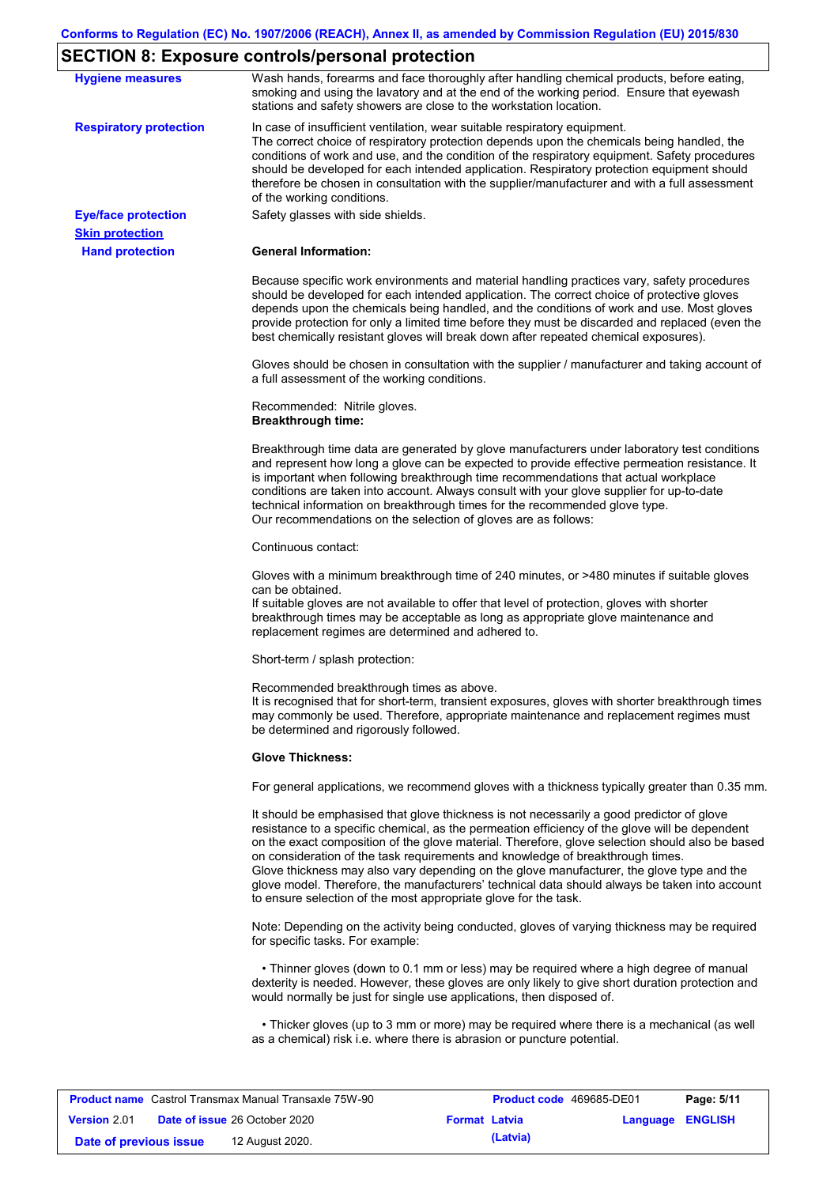# **SECTION 8: Exposure controls/personal protection**

| <b>Hygiene measures</b>       | Wash hands, forearms and face thoroughly after handling chemical products, before eating,<br>smoking and using the lavatory and at the end of the working period. Ensure that eyewash<br>stations and safety showers are close to the workstation location.                                                                                                                                                                                                                                                                                                                                                                                       |
|-------------------------------|---------------------------------------------------------------------------------------------------------------------------------------------------------------------------------------------------------------------------------------------------------------------------------------------------------------------------------------------------------------------------------------------------------------------------------------------------------------------------------------------------------------------------------------------------------------------------------------------------------------------------------------------------|
| <b>Respiratory protection</b> | In case of insufficient ventilation, wear suitable respiratory equipment.<br>The correct choice of respiratory protection depends upon the chemicals being handled, the<br>conditions of work and use, and the condition of the respiratory equipment. Safety procedures<br>should be developed for each intended application. Respiratory protection equipment should<br>therefore be chosen in consultation with the supplier/manufacturer and with a full assessment<br>of the working conditions.                                                                                                                                             |
| <b>Eye/face protection</b>    | Safety glasses with side shields.                                                                                                                                                                                                                                                                                                                                                                                                                                                                                                                                                                                                                 |
| <b>Skin protection</b>        |                                                                                                                                                                                                                                                                                                                                                                                                                                                                                                                                                                                                                                                   |
| <b>Hand protection</b>        | <b>General Information:</b>                                                                                                                                                                                                                                                                                                                                                                                                                                                                                                                                                                                                                       |
|                               | Because specific work environments and material handling practices vary, safety procedures<br>should be developed for each intended application. The correct choice of protective gloves<br>depends upon the chemicals being handled, and the conditions of work and use. Most gloves<br>provide protection for only a limited time before they must be discarded and replaced (even the<br>best chemically resistant gloves will break down after repeated chemical exposures).                                                                                                                                                                  |
|                               | Gloves should be chosen in consultation with the supplier / manufacturer and taking account of<br>a full assessment of the working conditions.                                                                                                                                                                                                                                                                                                                                                                                                                                                                                                    |
|                               | Recommended: Nitrile gloves.<br><b>Breakthrough time:</b>                                                                                                                                                                                                                                                                                                                                                                                                                                                                                                                                                                                         |
|                               | Breakthrough time data are generated by glove manufacturers under laboratory test conditions<br>and represent how long a glove can be expected to provide effective permeation resistance. It<br>is important when following breakthrough time recommendations that actual workplace<br>conditions are taken into account. Always consult with your glove supplier for up-to-date<br>technical information on breakthrough times for the recommended glove type.<br>Our recommendations on the selection of gloves are as follows:                                                                                                                |
|                               | Continuous contact:                                                                                                                                                                                                                                                                                                                                                                                                                                                                                                                                                                                                                               |
|                               | Gloves with a minimum breakthrough time of 240 minutes, or >480 minutes if suitable gloves<br>can be obtained.<br>If suitable gloves are not available to offer that level of protection, gloves with shorter<br>breakthrough times may be acceptable as long as appropriate glove maintenance and<br>replacement regimes are determined and adhered to.                                                                                                                                                                                                                                                                                          |
|                               | Short-term / splash protection:                                                                                                                                                                                                                                                                                                                                                                                                                                                                                                                                                                                                                   |
|                               | Recommended breakthrough times as above.<br>It is recognised that for short-term, transient exposures, gloves with shorter breakthrough times<br>may commonly be used. Therefore, appropriate maintenance and replacement regimes must<br>be determined and rigorously followed.                                                                                                                                                                                                                                                                                                                                                                  |
|                               | <b>Glove Thickness:</b>                                                                                                                                                                                                                                                                                                                                                                                                                                                                                                                                                                                                                           |
|                               | For general applications, we recommend gloves with a thickness typically greater than 0.35 mm.                                                                                                                                                                                                                                                                                                                                                                                                                                                                                                                                                    |
|                               | It should be emphasised that glove thickness is not necessarily a good predictor of glove<br>resistance to a specific chemical, as the permeation efficiency of the glove will be dependent<br>on the exact composition of the glove material. Therefore, glove selection should also be based<br>on consideration of the task requirements and knowledge of breakthrough times.<br>Glove thickness may also vary depending on the glove manufacturer, the glove type and the<br>glove model. Therefore, the manufacturers' technical data should always be taken into account<br>to ensure selection of the most appropriate glove for the task. |
|                               | Note: Depending on the activity being conducted, gloves of varying thickness may be required<br>for specific tasks. For example:                                                                                                                                                                                                                                                                                                                                                                                                                                                                                                                  |
|                               | • Thinner gloves (down to 0.1 mm or less) may be required where a high degree of manual<br>dexterity is needed. However, these gloves are only likely to give short duration protection and<br>would normally be just for single use applications, then disposed of.                                                                                                                                                                                                                                                                                                                                                                              |
|                               | • Thicker gloves (up to 3 mm or more) may be required where there is a mechanical (as well<br>as a chemical) risk i.e. where there is abrasion or puncture potential.                                                                                                                                                                                                                                                                                                                                                                                                                                                                             |

|                        | <b>Product name</b> Castrol Transmax Manual Transaxle 75W-90 |                      | <b>Product code</b> 469685-DE01 |                  | Page: 5/11 |
|------------------------|--------------------------------------------------------------|----------------------|---------------------------------|------------------|------------|
| Version 2.01           | <b>Date of issue 26 October 2020</b>                         | <b>Format Latvia</b> |                                 | Language ENGLISH |            |
| Date of previous issue | 12 August 2020.                                              |                      | (Latvia)                        |                  |            |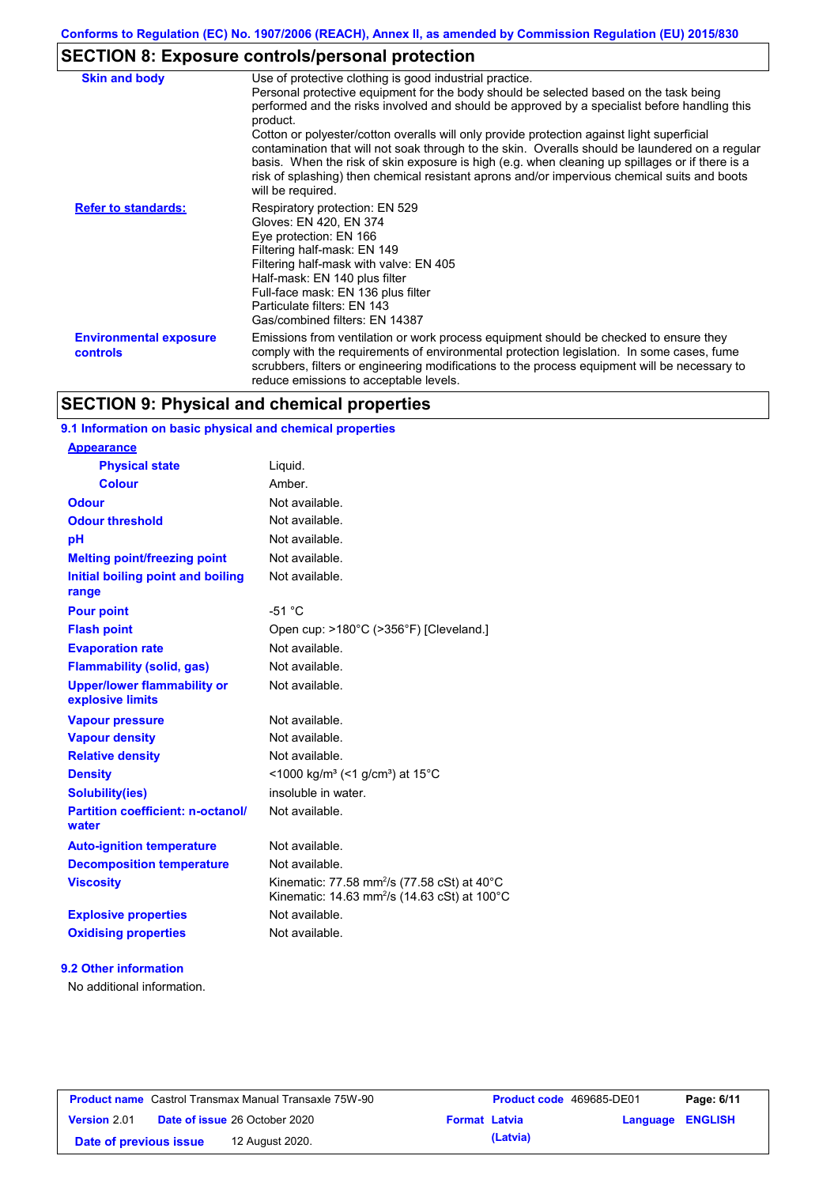# **SECTION 8: Exposure controls/personal protection**

| <b>Skin and body</b>                             | Use of protective clothing is good industrial practice.<br>Personal protective equipment for the body should be selected based on the task being<br>performed and the risks involved and should be approved by a specialist before handling this<br>product.<br>Cotton or polyester/cotton overalls will only provide protection against light superficial<br>contamination that will not soak through to the skin. Overalls should be laundered on a regular<br>basis. When the risk of skin exposure is high (e.g. when cleaning up spillages or if there is a<br>risk of splashing) then chemical resistant aprons and/or impervious chemical suits and boots<br>will be required. |
|--------------------------------------------------|---------------------------------------------------------------------------------------------------------------------------------------------------------------------------------------------------------------------------------------------------------------------------------------------------------------------------------------------------------------------------------------------------------------------------------------------------------------------------------------------------------------------------------------------------------------------------------------------------------------------------------------------------------------------------------------|
| <b>Refer to standards:</b>                       | Respiratory protection: EN 529<br>Gloves: EN 420, EN 374<br>Eye protection: EN 166<br>Filtering half-mask: EN 149<br>Filtering half-mask with valve: EN 405<br>Half-mask: EN 140 plus filter<br>Full-face mask: EN 136 plus filter<br>Particulate filters: EN 143<br>Gas/combined filters: EN 14387                                                                                                                                                                                                                                                                                                                                                                                   |
| <b>Environmental exposure</b><br><b>controls</b> | Emissions from ventilation or work process equipment should be checked to ensure they<br>comply with the requirements of environmental protection legislation. In some cases, fume<br>scrubbers, filters or engineering modifications to the process equipment will be necessary to<br>reduce emissions to acceptable levels.                                                                                                                                                                                                                                                                                                                                                         |

## **SECTION 9: Physical and chemical properties**

### **9.1 Information on basic physical and chemical properties**

#### **9.2 Other information**

No additional information.

| <b>Product name</b> Castrol Transmax Manual Transaxle 75W-90 |  |                                      | <b>Product code</b> 469685-DE01 |          | Page: 6/11              |  |
|--------------------------------------------------------------|--|--------------------------------------|---------------------------------|----------|-------------------------|--|
| <b>Version 2.01</b>                                          |  | <b>Date of issue 26 October 2020</b> | <b>Format Latvia</b>            |          | <b>Language ENGLISH</b> |  |
| Date of previous issue                                       |  | 12 August 2020.                      |                                 | (Latvia) |                         |  |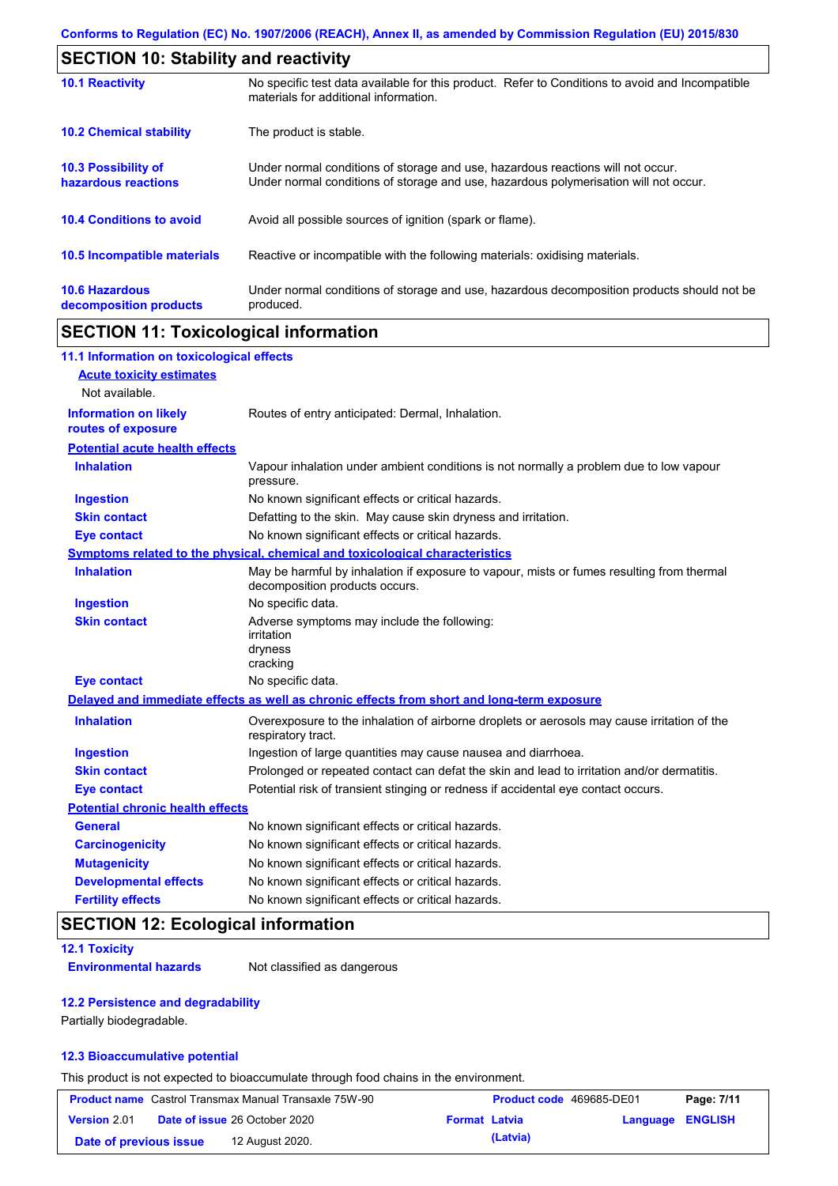| <b>SECTION 10: Stability and reactivity</b>       |                                                                                                                                                                         |  |  |  |
|---------------------------------------------------|-------------------------------------------------------------------------------------------------------------------------------------------------------------------------|--|--|--|
| <b>10.1 Reactivity</b>                            | No specific test data available for this product. Refer to Conditions to avoid and Incompatible<br>materials for additional information.                                |  |  |  |
| <b>10.2 Chemical stability</b>                    | The product is stable.                                                                                                                                                  |  |  |  |
| <b>10.3 Possibility of</b><br>hazardous reactions | Under normal conditions of storage and use, hazardous reactions will not occur.<br>Under normal conditions of storage and use, hazardous polymerisation will not occur. |  |  |  |
| <b>10.4 Conditions to avoid</b>                   | Avoid all possible sources of ignition (spark or flame).                                                                                                                |  |  |  |
| <b>10.5 Incompatible materials</b>                | Reactive or incompatible with the following materials: oxidising materials.                                                                                             |  |  |  |
| <b>10.6 Hazardous</b><br>decomposition products   | Under normal conditions of storage and use, hazardous decomposition products should not be<br>produced.                                                                 |  |  |  |

# **SECTION 11: Toxicological information**

| 11.1 Information on toxicological effects          |                                                                                                                             |
|----------------------------------------------------|-----------------------------------------------------------------------------------------------------------------------------|
| <b>Acute toxicity estimates</b>                    |                                                                                                                             |
| Not available.                                     |                                                                                                                             |
| <b>Information on likely</b><br>routes of exposure | Routes of entry anticipated: Dermal, Inhalation.                                                                            |
| <b>Potential acute health effects</b>              |                                                                                                                             |
| <b>Inhalation</b>                                  | Vapour inhalation under ambient conditions is not normally a problem due to low vapour<br>pressure.                         |
| <b>Ingestion</b>                                   | No known significant effects or critical hazards.                                                                           |
| <b>Skin contact</b>                                | Defatting to the skin. May cause skin dryness and irritation.                                                               |
| <b>Eye contact</b>                                 | No known significant effects or critical hazards.                                                                           |
|                                                    | Symptoms related to the physical, chemical and toxicological characteristics                                                |
| <b>Inhalation</b>                                  | May be harmful by inhalation if exposure to vapour, mists or fumes resulting from thermal<br>decomposition products occurs. |
| <b>Ingestion</b>                                   | No specific data.                                                                                                           |
| <b>Skin contact</b>                                | Adverse symptoms may include the following:<br>irritation<br>dryness<br>cracking                                            |
| <b>Eye contact</b>                                 | No specific data.                                                                                                           |
|                                                    | Delayed and immediate effects as well as chronic effects from short and long-term exposure                                  |
| <b>Inhalation</b>                                  | Overexposure to the inhalation of airborne droplets or aerosols may cause irritation of the<br>respiratory tract.           |
| <b>Ingestion</b>                                   | Ingestion of large quantities may cause nausea and diarrhoea.                                                               |
| <b>Skin contact</b>                                | Prolonged or repeated contact can defat the skin and lead to irritation and/or dermatitis.                                  |
| <b>Eye contact</b>                                 | Potential risk of transient stinging or redness if accidental eye contact occurs.                                           |
| <b>Potential chronic health effects</b>            |                                                                                                                             |
| <b>General</b>                                     | No known significant effects or critical hazards.                                                                           |
| <b>Carcinogenicity</b>                             | No known significant effects or critical hazards.                                                                           |
| <b>Mutagenicity</b>                                | No known significant effects or critical hazards.                                                                           |
| <b>Developmental effects</b>                       | No known significant effects or critical hazards.                                                                           |
| <b>Fertility effects</b>                           | No known significant effects or critical hazards.                                                                           |

# **SECTION 12: Ecological information**

#### **12.1 Toxicity**

**Environmental hazards** Not classified as dangerous

#### **12.2 Persistence and degradability**

Partially biodegradable.

#### **12.3 Bioaccumulative potential**

This product is not expected to bioaccumulate through food chains in the environment.

| <b>Product name</b> Castrol Transmax Manual Transaxle 75W-90 |  |                                      | Product code 469685-DE01 |          | Page: 7/11       |  |
|--------------------------------------------------------------|--|--------------------------------------|--------------------------|----------|------------------|--|
| Version 2.01                                                 |  | <b>Date of issue 26 October 2020</b> | <b>Format Latvia</b>     |          | Language ENGLISH |  |
| Date of previous issue                                       |  | 12 August 2020.                      |                          | (Latvia) |                  |  |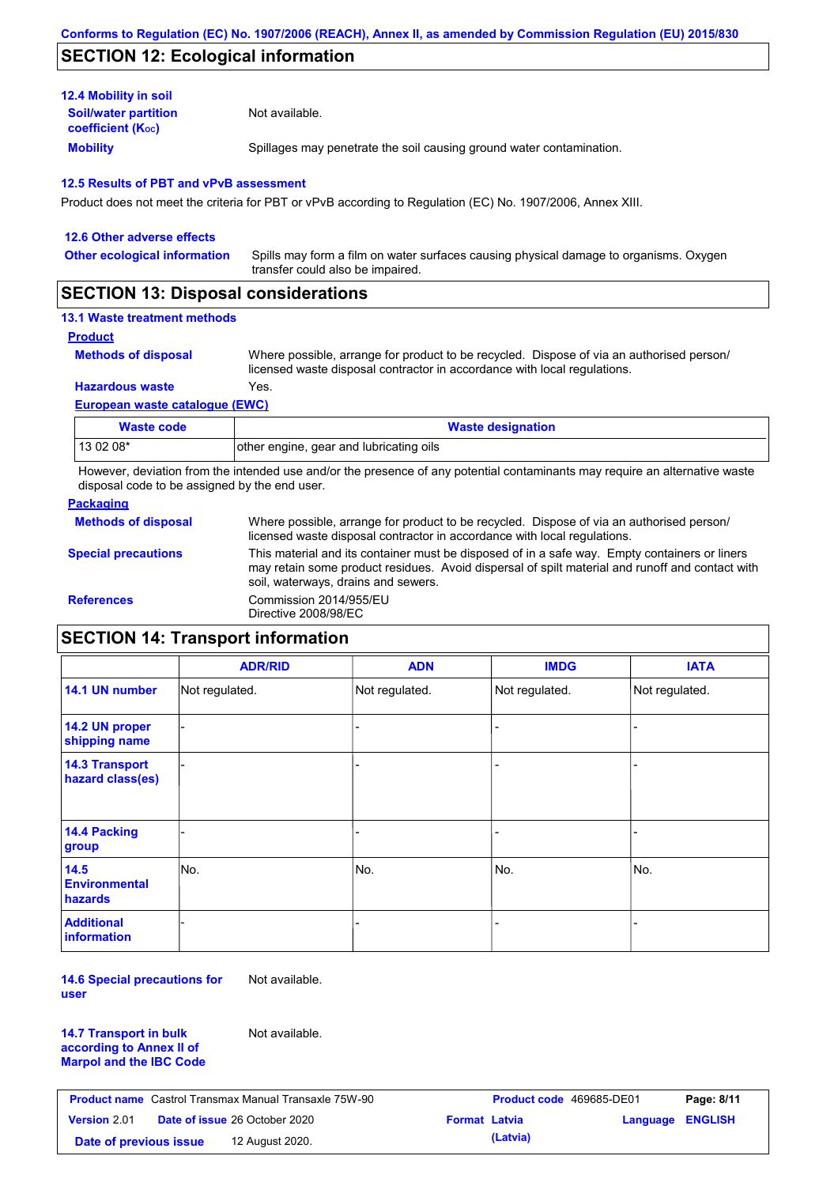## **SECTION 12: Ecological information**

| <b>12.4 Mobility in soil</b>                            |                                                                      |
|---------------------------------------------------------|----------------------------------------------------------------------|
| <b>Soil/water partition</b><br><b>coefficient (Koc)</b> | Not available.                                                       |
| <b>Mobility</b>                                         | Spillages may penetrate the soil causing ground water contamination. |

#### **12.5 Results of PBT and vPvB assessment**

Product does not meet the criteria for PBT or vPvB according to Regulation (EC) No. 1907/2006, Annex XIII.

| 12.6 Other adverse effects          |                                                                                                                           |
|-------------------------------------|---------------------------------------------------------------------------------------------------------------------------|
| <b>Other ecological information</b> | Spills may form a film on water surfaces causing physical damage to organisms. Oxygen<br>transfer could also be impaired. |
|                                     |                                                                                                                           |

## **SECTION 13: Disposal considerations**

## **13.1 Waste treatment methods**

**Product**

```
Methods of disposal
```
Where possible, arrange for product to be recycled. Dispose of via an authorised person/ licensed waste disposal contractor in accordance with local regulations.

**Hazardous waste** Yes.

#### **European waste catalogue (EWC)**

| Waste code | <b>Waste designation</b>                |
|------------|-----------------------------------------|
| 13 02 08*  | other engine, gear and lubricating oils |

However, deviation from the intended use and/or the presence of any potential contaminants may require an alternative waste disposal code to be assigned by the end user.

#### **Packaging**

| <b>Methods of disposal</b> | Where possible, arrange for product to be recycled. Dispose of via an authorised person/<br>licensed waste disposal contractor in accordance with local regulations.                                                                    |
|----------------------------|-----------------------------------------------------------------------------------------------------------------------------------------------------------------------------------------------------------------------------------------|
| <b>Special precautions</b> | This material and its container must be disposed of in a safe way. Empty containers or liners<br>may retain some product residues. Avoid dispersal of spilt material and runoff and contact with<br>soil, waterways, drains and sewers. |
| <b>References</b>          | Commission 2014/955/EU<br>Directive 2008/98/EC                                                                                                                                                                                          |

# **SECTION 14: Transport information**

|                                           | <b>ADR/RID</b> | <b>ADN</b>     | <b>IMDG</b>    | <b>IATA</b>    |
|-------------------------------------------|----------------|----------------|----------------|----------------|
| 14.1 UN number                            | Not regulated. | Not regulated. | Not regulated. | Not regulated. |
| 14.2 UN proper<br>shipping name           |                |                | -              |                |
| <b>14.3 Transport</b><br>hazard class(es) |                |                |                |                |
| 14.4 Packing<br>group                     |                |                |                |                |
| 14.5<br><b>Environmental</b><br>hazards   | No.            | No.            | No.            | No.            |
| <b>Additional</b><br><b>information</b>   |                |                |                |                |

**14.6 Special precautions for user** Not available.

| <b>14.7 Transport in bulk</b>  | N |
|--------------------------------|---|
| according to Annex II of       |   |
| <b>Marpol and the IBC Code</b> |   |

Not available.

| <b>Product name</b> Castrol Transmax Manual Transaxle 75W-90 |                                      |                      | <b>Product code</b> 469685-DE01 |                         | Page: 8/11 |
|--------------------------------------------------------------|--------------------------------------|----------------------|---------------------------------|-------------------------|------------|
| <b>Version</b> 2.01                                          | <b>Date of issue 26 October 2020</b> | <b>Format Latvia</b> |                                 | <b>Language ENGLISH</b> |            |
| Date of previous issue                                       | 12 August 2020.                      |                      | (Latvia)                        |                         |            |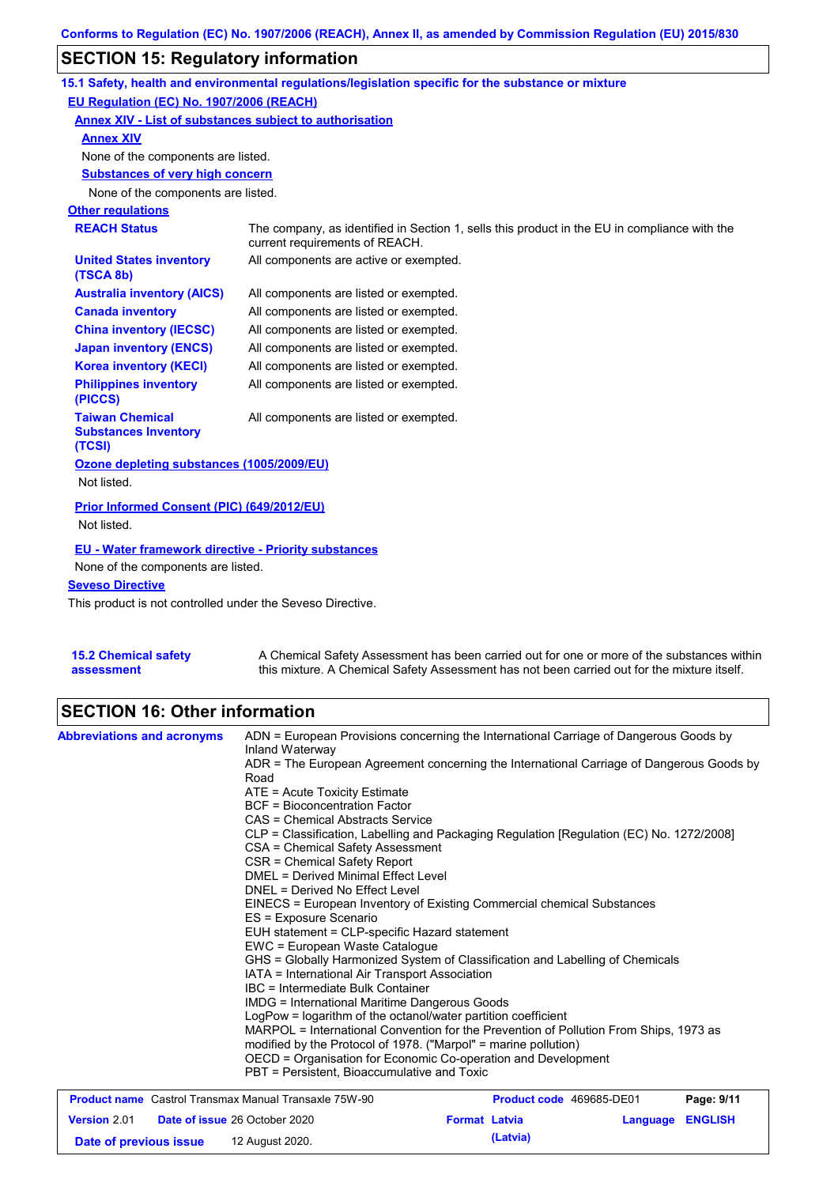# **SECTION 15: Regulatory information**

|                                                                 | 15.1 Safety, health and environmental regulations/legislation specific for the substance or mixture                            |
|-----------------------------------------------------------------|--------------------------------------------------------------------------------------------------------------------------------|
| EU Regulation (EC) No. 1907/2006 (REACH)                        |                                                                                                                                |
| Annex XIV - List of substances subject to authorisation         |                                                                                                                                |
| <b>Annex XIV</b>                                                |                                                                                                                                |
| None of the components are listed.                              |                                                                                                                                |
| <b>Substances of very high concern</b>                          |                                                                                                                                |
| None of the components are listed.                              |                                                                                                                                |
| <b>Other regulations</b>                                        |                                                                                                                                |
| <b>REACH Status</b>                                             | The company, as identified in Section 1, sells this product in the EU in compliance with the<br>current requirements of REACH. |
| <b>United States inventory</b><br>(TSCA 8b)                     | All components are active or exempted.                                                                                         |
| <b>Australia inventory (AICS)</b>                               | All components are listed or exempted.                                                                                         |
| <b>Canada inventory</b>                                         | All components are listed or exempted.                                                                                         |
| <b>China inventory (IECSC)</b>                                  | All components are listed or exempted.                                                                                         |
| <b>Japan inventory (ENCS)</b>                                   | All components are listed or exempted.                                                                                         |
| <b>Korea inventory (KECI)</b>                                   | All components are listed or exempted.                                                                                         |
| <b>Philippines inventory</b><br>(PICCS)                         | All components are listed or exempted.                                                                                         |
| <b>Taiwan Chemical</b><br><b>Substances Inventory</b><br>(TCSI) | All components are listed or exempted.                                                                                         |
| Ozone depleting substances (1005/2009/EU)                       |                                                                                                                                |
| Not listed.                                                     |                                                                                                                                |
| Prior Informed Consent (PIC) (649/2012/EU)<br>Not listed.       |                                                                                                                                |
|                                                                 |                                                                                                                                |
| <b>EU - Water framework directive - Priority substances</b>     |                                                                                                                                |
| None of the components are listed.                              |                                                                                                                                |
| <b>Seveso Directive</b>                                         |                                                                                                                                |

This product is not controlled under the Seveso Directive.

| <b>15.2 Chemical safety</b> | A Chemical Safety Assessment has been carried out for one or more of the substances within  |
|-----------------------------|---------------------------------------------------------------------------------------------|
| assessment                  | this mixture. A Chemical Safety Assessment has not been carried out for the mixture itself. |

## **SECTION 16: Other information**

| <b>Abbreviations and acronyms</b>                            | ADN = European Provisions concerning the International Carriage of Dangerous Goods by<br>Inland Waterway                                                                                                                  |            |  |  |  |  |
|--------------------------------------------------------------|---------------------------------------------------------------------------------------------------------------------------------------------------------------------------------------------------------------------------|------------|--|--|--|--|
|                                                              | ADR = The European Agreement concerning the International Carriage of Dangerous Goods by<br>Road                                                                                                                          |            |  |  |  |  |
|                                                              | ATE = Acute Toxicity Estimate                                                                                                                                                                                             |            |  |  |  |  |
|                                                              | <b>BCF</b> = Bioconcentration Factor                                                                                                                                                                                      |            |  |  |  |  |
|                                                              | CAS = Chemical Abstracts Service                                                                                                                                                                                          |            |  |  |  |  |
|                                                              | CLP = Classification, Labelling and Packaging Regulation [Regulation (EC) No. 1272/2008]                                                                                                                                  |            |  |  |  |  |
|                                                              | CSA = Chemical Safety Assessment                                                                                                                                                                                          |            |  |  |  |  |
|                                                              | CSR = Chemical Safety Report                                                                                                                                                                                              |            |  |  |  |  |
|                                                              | DMEL = Derived Minimal Effect Level                                                                                                                                                                                       |            |  |  |  |  |
|                                                              | DNEL = Derived No Effect Level<br>EINECS = European Inventory of Existing Commercial chemical Substances                                                                                                                  |            |  |  |  |  |
|                                                              |                                                                                                                                                                                                                           |            |  |  |  |  |
|                                                              | ES = Exposure Scenario                                                                                                                                                                                                    |            |  |  |  |  |
|                                                              | EUH statement = CLP-specific Hazard statement                                                                                                                                                                             |            |  |  |  |  |
|                                                              | EWC = European Waste Catalogue                                                                                                                                                                                            |            |  |  |  |  |
|                                                              | GHS = Globally Harmonized System of Classification and Labelling of Chemicals<br>IATA = International Air Transport Association                                                                                           |            |  |  |  |  |
|                                                              |                                                                                                                                                                                                                           |            |  |  |  |  |
|                                                              | IBC = Intermediate Bulk Container                                                                                                                                                                                         |            |  |  |  |  |
|                                                              | <b>IMDG = International Maritime Dangerous Goods</b>                                                                                                                                                                      |            |  |  |  |  |
|                                                              | LogPow = logarithm of the octanol/water partition coefficient<br>MARPOL = International Convention for the Prevention of Pollution From Ships, 1973 as<br>modified by the Protocol of 1978. ("Marpol" = marine pollution) |            |  |  |  |  |
|                                                              |                                                                                                                                                                                                                           |            |  |  |  |  |
|                                                              |                                                                                                                                                                                                                           |            |  |  |  |  |
|                                                              | OECD = Organisation for Economic Co-operation and Development                                                                                                                                                             |            |  |  |  |  |
|                                                              | PBT = Persistent, Bioaccumulative and Toxic                                                                                                                                                                               |            |  |  |  |  |
| <b>Product name</b> Castrol Transmax Manual Transaxle 75W-90 | Product code 469685-DE01                                                                                                                                                                                                  | Page: 9/11 |  |  |  |  |
| <b>Version 2.01</b>                                          | <b>Language ENGLISH</b><br><b>Date of issue 26 October 2020</b><br><b>Format Latvia</b>                                                                                                                                   |            |  |  |  |  |

**Date of previous issue (Latvia)** 12 August 2020.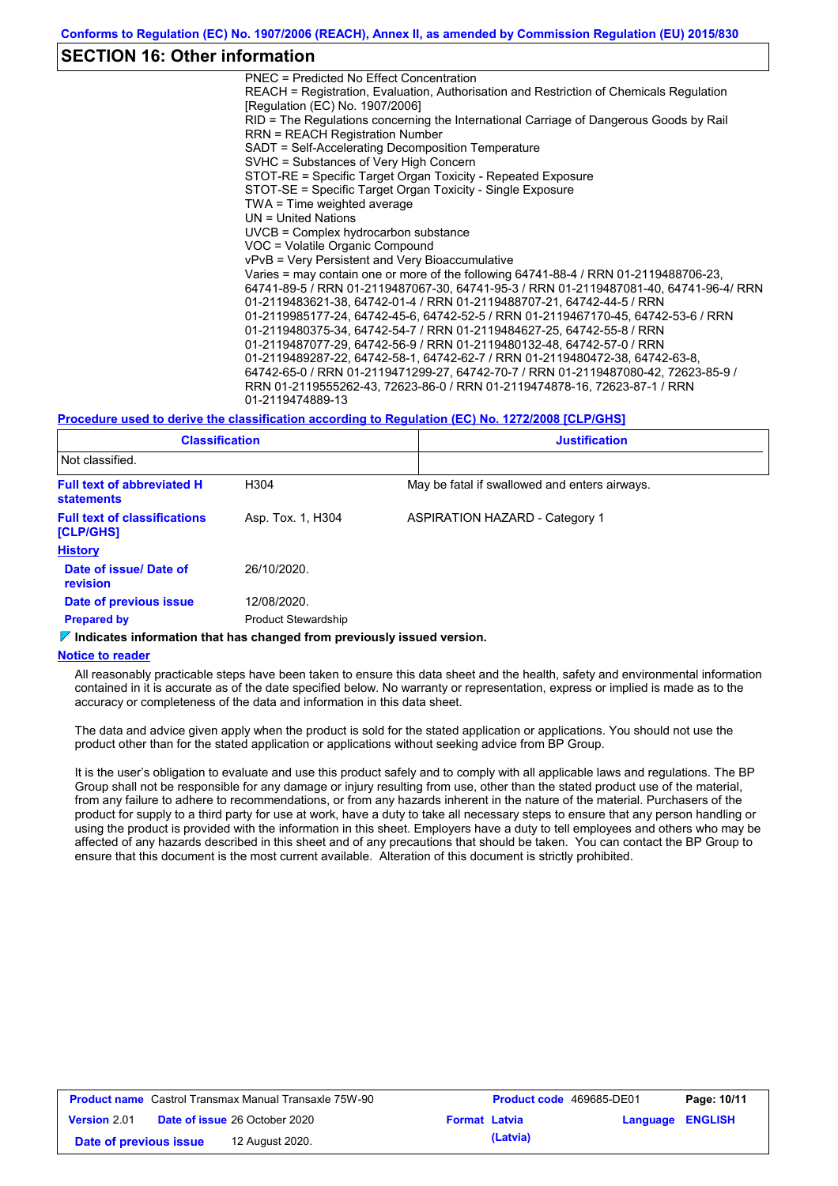### **SECTION 16: Other information**

PNEC = Predicted No Effect Concentration REACH = Registration, Evaluation, Authorisation and Restriction of Chemicals Regulation [Regulation (EC) No. 1907/2006] RID = The Regulations concerning the International Carriage of Dangerous Goods by Rail RRN = REACH Registration Number SADT = Self-Accelerating Decomposition Temperature SVHC = Substances of Very High Concern STOT-RE = Specific Target Organ Toxicity - Repeated Exposure STOT-SE = Specific Target Organ Toxicity - Single Exposure TWA = Time weighted average UN = United Nations UVCB = Complex hydrocarbon substance VOC = Volatile Organic Compound vPvB = Very Persistent and Very Bioaccumulative Varies = may contain one or more of the following 64741-88-4 / RRN 01-2119488706-23, 64741-89-5 / RRN 01-2119487067-30, 64741-95-3 / RRN 01-2119487081-40, 64741-96-4/ RRN 01-2119483621-38, 64742-01-4 / RRN 01-2119488707-21, 64742-44-5 / RRN 01-2119985177-24, 64742-45-6, 64742-52-5 / RRN 01-2119467170-45, 64742-53-6 / RRN 01-2119480375-34, 64742-54-7 / RRN 01-2119484627-25, 64742-55-8 / RRN 01-2119487077-29, 64742-56-9 / RRN 01-2119480132-48, 64742-57-0 / RRN 01-2119489287-22, 64742-58-1, 64742-62-7 / RRN 01-2119480472-38, 64742-63-8, 64742-65-0 / RRN 01-2119471299-27, 64742-70-7 / RRN 01-2119487080-42, 72623-85-9 / RRN 01-2119555262-43, 72623-86-0 / RRN 01-2119474878-16, 72623-87-1 / RRN 01-2119474889-13

#### **Procedure used to derive the classification according to Regulation (EC) No. 1272/2008 [CLP/GHS]**

| <b>Classification</b><br>Not classified.               |                            | <b>Justification</b>                          |  |
|--------------------------------------------------------|----------------------------|-----------------------------------------------|--|
|                                                        |                            |                                               |  |
| <b>Full text of abbreviated H</b><br><b>statements</b> | H304                       | May be fatal if swallowed and enters airways. |  |
| <b>Full text of classifications</b><br>[CLP/GHS]       | Asp. Tox. 1, H304          | <b>ASPIRATION HAZARD - Category 1</b>         |  |
| <b>History</b>                                         |                            |                                               |  |
| Date of issue/Date of<br><b>revision</b>               | 26/10/2020.                |                                               |  |
| Date of previous issue                                 | 12/08/2020.                |                                               |  |
| <b>Prepared by</b>                                     | <b>Product Stewardship</b> |                                               |  |

#### **Indicates information that has changed from previously issued version.**

#### **Notice to reader**

All reasonably practicable steps have been taken to ensure this data sheet and the health, safety and environmental information contained in it is accurate as of the date specified below. No warranty or representation, express or implied is made as to the accuracy or completeness of the data and information in this data sheet.

The data and advice given apply when the product is sold for the stated application or applications. You should not use the product other than for the stated application or applications without seeking advice from BP Group.

It is the user's obligation to evaluate and use this product safely and to comply with all applicable laws and regulations. The BP Group shall not be responsible for any damage or injury resulting from use, other than the stated product use of the material, from any failure to adhere to recommendations, or from any hazards inherent in the nature of the material. Purchasers of the product for supply to a third party for use at work, have a duty to take all necessary steps to ensure that any person handling or using the product is provided with the information in this sheet. Employers have a duty to tell employees and others who may be affected of any hazards described in this sheet and of any precautions that should be taken. You can contact the BP Group to ensure that this document is the most current available. Alteration of this document is strictly prohibited.

| <b>Product name</b> Castrol Transmax Manual Transaxle 75W-90 |  |                                      |  | Product code 469685-DE01 |                  | Page: 10/11 |
|--------------------------------------------------------------|--|--------------------------------------|--|--------------------------|------------------|-------------|
| <b>Version 2.01</b>                                          |  | <b>Date of issue 26 October 2020</b> |  | <b>Format Latvia</b>     | Language ENGLISH |             |
| Date of previous issue                                       |  | 12 August 2020.                      |  | (Latvia)                 |                  |             |